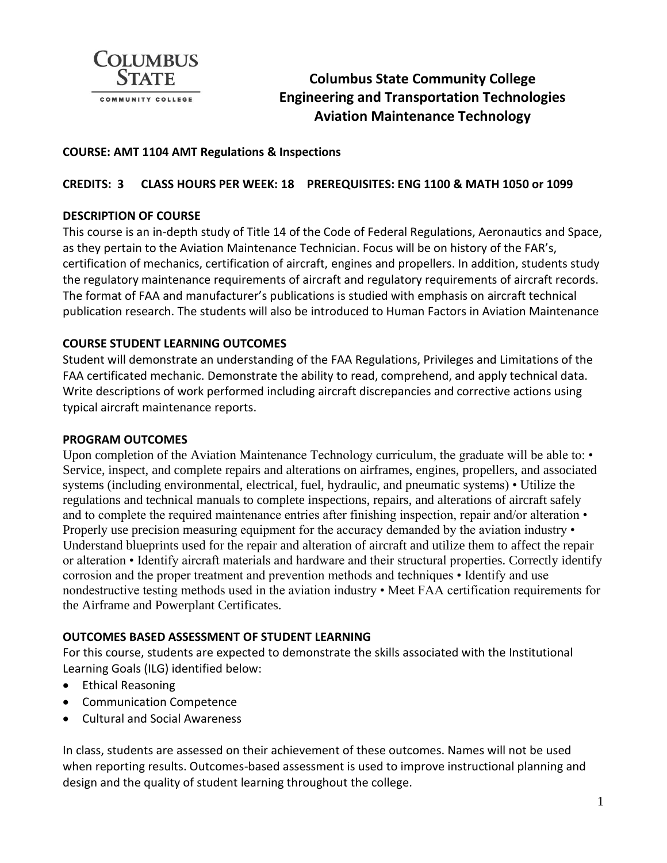

# **Columbus State Community College Engineering and Transportation Technologies Aviation Maintenance Technology**

#### **COURSE: AMT 1104 AMT Regulations & Inspections**

# **CREDITS: 3 CLASS HOURS PER WEEK: 18 PREREQUISITES: ENG 1100 & MATH 1050 or 1099**

# **DESCRIPTION OF COURSE**

This course is an in-depth study of Title 14 of the Code of Federal Regulations, Aeronautics and Space, as they pertain to the Aviation Maintenance Technician. Focus will be on history of the FAR's, certification of mechanics, certification of aircraft, engines and propellers. In addition, students study the regulatory maintenance requirements of aircraft and regulatory requirements of aircraft records. The format of FAA and manufacturer's publications is studied with emphasis on aircraft technical publication research. The students will also be introduced to Human Factors in Aviation Maintenance

# **COURSE STUDENT LEARNING OUTCOMES**

Student will demonstrate an understanding of the FAA Regulations, Privileges and Limitations of the FAA certificated mechanic. Demonstrate the ability to read, comprehend, and apply technical data. Write descriptions of work performed including aircraft discrepancies and corrective actions using typical aircraft maintenance reports.

#### **PROGRAM OUTCOMES**

Upon completion of the Aviation Maintenance Technology curriculum, the graduate will be able to: • Service, inspect, and complete repairs and alterations on airframes, engines, propellers, and associated systems (including environmental, electrical, fuel, hydraulic, and pneumatic systems) • Utilize the regulations and technical manuals to complete inspections, repairs, and alterations of aircraft safely and to complete the required maintenance entries after finishing inspection, repair and/or alteration • Properly use precision measuring equipment for the accuracy demanded by the aviation industry • Understand blueprints used for the repair and alteration of aircraft and utilize them to affect the repair or alteration • Identify aircraft materials and hardware and their structural properties. Correctly identify corrosion and the proper treatment and prevention methods and techniques • Identify and use nondestructive testing methods used in the aviation industry • Meet FAA certification requirements for the Airframe and Powerplant Certificates.

#### **OUTCOMES BASED ASSESSMENT OF STUDENT LEARNING**

For this course, students are expected to demonstrate the skills associated with the Institutional Learning Goals (ILG) identified below:

- Ethical Reasoning
- Communication Competence
- Cultural and Social Awareness

In class, students are assessed on their achievement of these outcomes. Names will not be used when reporting results. Outcomes-based assessment is used to improve instructional planning and design and the quality of student learning throughout the college.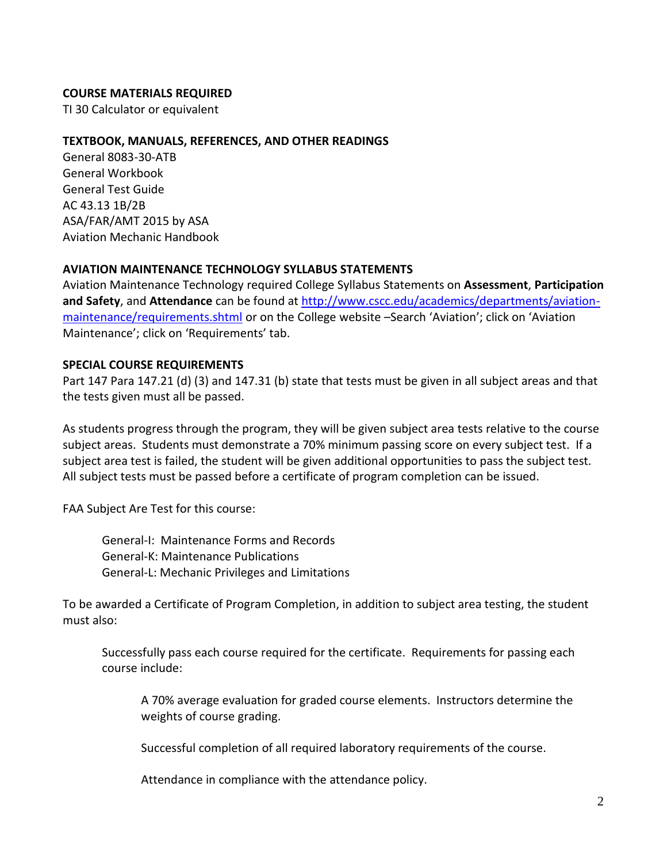#### **COURSE MATERIALS REQUIRED**

TI 30 Calculator or equivalent

#### **TEXTBOOK, MANUALS, REFERENCES, AND OTHER READINGS**

General 8083-30-ATB General Workbook General Test Guide AC 43.13 1B/2B ASA/FAR/AMT 2015 by ASA Aviation Mechanic Handbook

#### **AVIATION MAINTENANCE TECHNOLOGY SYLLABUS STATEMENTS**

Aviation Maintenance Technology required College Syllabus Statements on **Assessment**, **Participation and Safety**, and **Attendance** can be found a[t http://www.cscc.edu/academics/departments/aviation](http://www.cscc.edu/academics/departments/aviation-maintenance/requirements.shtml)[maintenance/requirements.shtml](http://www.cscc.edu/academics/departments/aviation-maintenance/requirements.shtml) or on the College website –Search 'Aviation'; click on 'Aviation Maintenance'; click on 'Requirements' tab.

#### **SPECIAL COURSE REQUIREMENTS**

Part 147 Para 147.21 (d) (3) and 147.31 (b) state that tests must be given in all subject areas and that the tests given must all be passed.

As students progress through the program, they will be given subject area tests relative to the course subject areas. Students must demonstrate a 70% minimum passing score on every subject test. If a subject area test is failed, the student will be given additional opportunities to pass the subject test. All subject tests must be passed before a certificate of program completion can be issued.

FAA Subject Are Test for this course:

General-I: Maintenance Forms and Records General-K: Maintenance Publications General-L: Mechanic Privileges and Limitations

To be awarded a Certificate of Program Completion, in addition to subject area testing, the student must also:

Successfully pass each course required for the certificate. Requirements for passing each course include:

A 70% average evaluation for graded course elements. Instructors determine the weights of course grading.

Successful completion of all required laboratory requirements of the course.

Attendance in compliance with the attendance policy.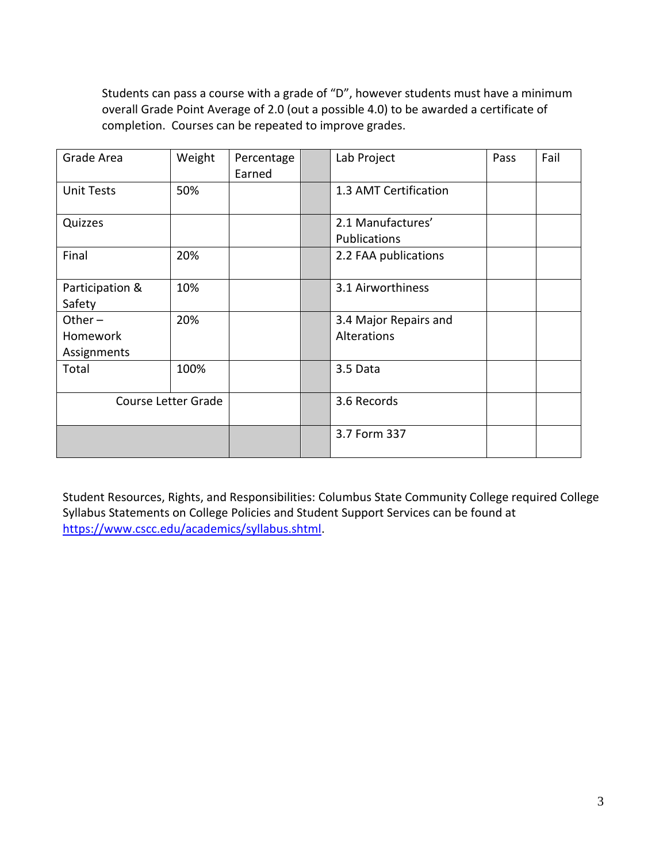Students can pass a course with a grade of "D", however students must have a minimum overall Grade Point Average of 2.0 (out a possible 4.0) to be awarded a certificate of completion. Courses can be repeated to improve grades.

| Grade Area                           | Weight | Percentage<br>Earned | Lab Project                          |  | Fail |
|--------------------------------------|--------|----------------------|--------------------------------------|--|------|
| <b>Unit Tests</b>                    | 50%    |                      | 1.3 AMT Certification                |  |      |
| Quizzes                              |        |                      | 2.1 Manufactures'<br>Publications    |  |      |
| Final                                | 20%    |                      | 2.2 FAA publications                 |  |      |
| Participation &<br>Safety            | 10%    |                      | 3.1 Airworthiness                    |  |      |
| Other $-$<br>Homework<br>Assignments | 20%    |                      | 3.4 Major Repairs and<br>Alterations |  |      |
| Total                                | 100%   |                      | 3.5 Data                             |  |      |
| <b>Course Letter Grade</b>           |        |                      | 3.6 Records                          |  |      |
|                                      |        |                      | 3.7 Form 337                         |  |      |

Student Resources, Rights, and Responsibilities: Columbus State Community College required College Syllabus Statements on College Policies and Student Support Services can be found at [https://www.cscc.edu/academics/syllabus.shtml.](https://www.cscc.edu/academics/syllabus.shtml)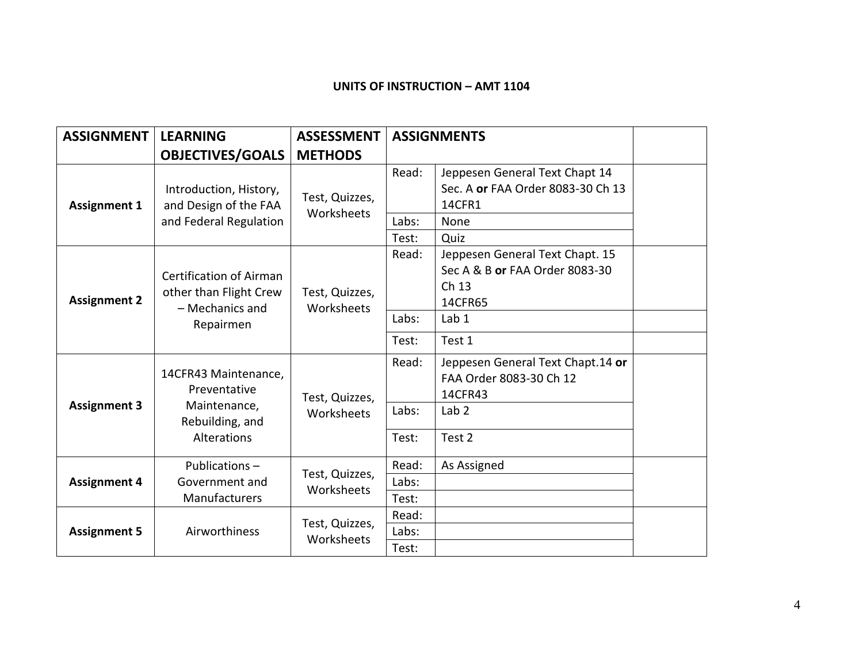# **UNITS OF INSTRUCTION – AMT 1104**

| <b>ASSIGNMENT</b>   | <b>LEARNING</b>                                                                          | <b>ASSESSMENT</b>            | <b>ASSIGNMENTS</b>      |                                                                                                          |  |
|---------------------|------------------------------------------------------------------------------------------|------------------------------|-------------------------|----------------------------------------------------------------------------------------------------------|--|
|                     | <b>OBJECTIVES/GOALS</b>                                                                  | <b>METHODS</b>               |                         |                                                                                                          |  |
| <b>Assignment 1</b> | Introduction, History,<br>and Design of the FAA<br>and Federal Regulation                | Test, Quizzes,<br>Worksheets | Read:<br>Labs:<br>Test: | Jeppesen General Text Chapt 14<br>Sec. A or FAA Order 8083-30 Ch 13<br>14CFR1<br>None<br>Quiz            |  |
| <b>Assignment 2</b> | <b>Certification of Airman</b><br>other than Flight Crew<br>- Mechanics and<br>Repairmen | Test, Quizzes,<br>Worksheets | Read:<br>Labs:<br>Test: | Jeppesen General Text Chapt. 15<br>Sec A & B or FAA Order 8083-30<br>Ch 13<br>14CFR65<br>Lab 1<br>Test 1 |  |
| <b>Assignment 3</b> | 14CFR43 Maintenance,<br>Preventative<br>Maintenance,<br>Rebuilding, and<br>Alterations   | Test, Quizzes,<br>Worksheets | Read:<br>Labs:<br>Test: | Jeppesen General Text Chapt.14 or<br>FAA Order 8083-30 Ch 12<br>14CFR43<br>Lab <sub>2</sub><br>Test 2    |  |
| <b>Assignment 4</b> | Publications-<br>Government and<br>Manufacturers                                         | Test, Quizzes,<br>Worksheets | Read:<br>Labs:<br>Test: | As Assigned                                                                                              |  |
| <b>Assignment 5</b> | Airworthiness                                                                            | Test, Quizzes,<br>Worksheets | Read:<br>Labs:<br>Test: |                                                                                                          |  |